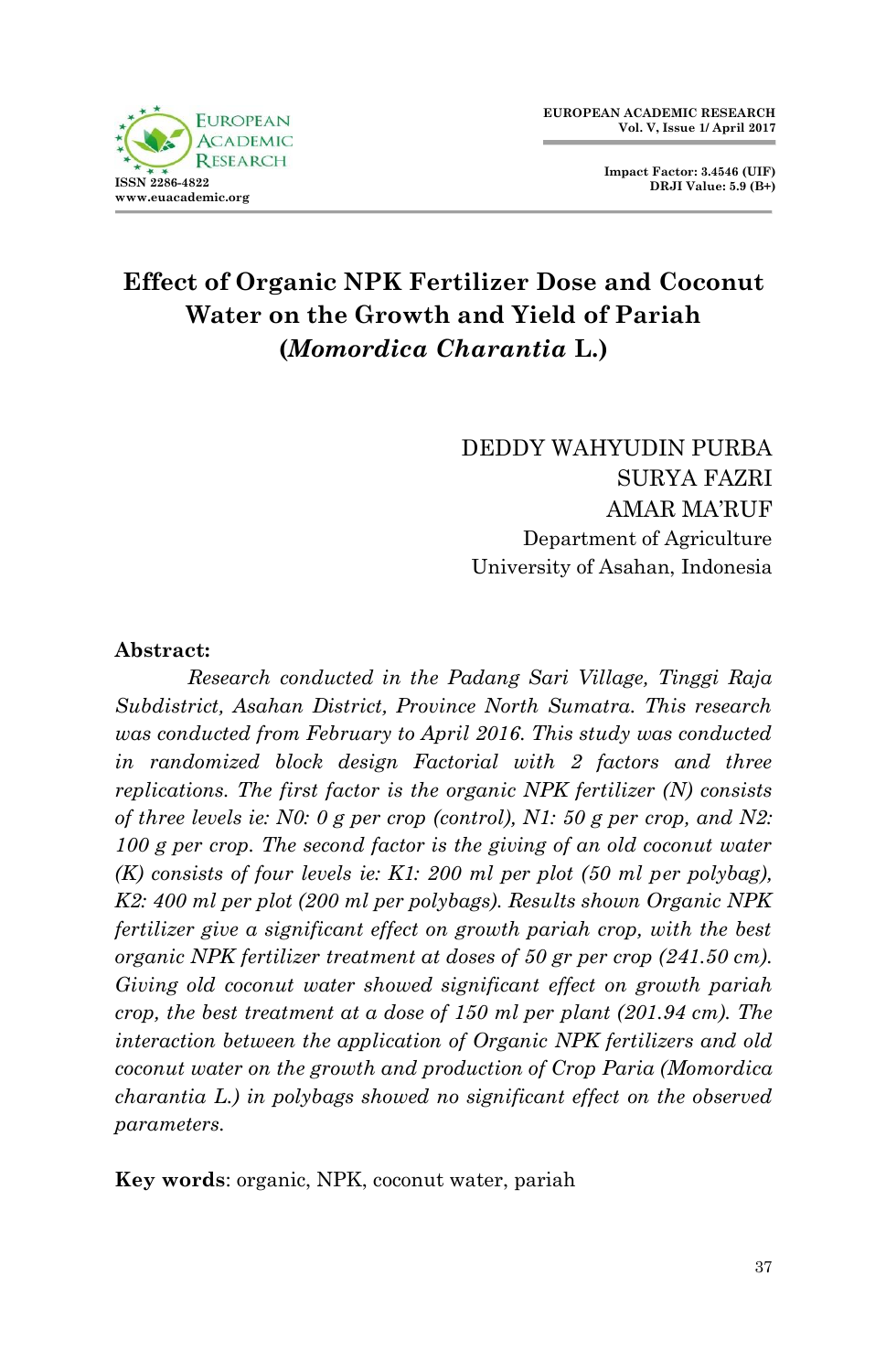

**Impact Factor: 3.4546 (UIF) DRJI Value: 5.9 (B+)**

# **Effect of Organic NPK Fertilizer Dose and Coconut Water on the Growth and Yield of Pariah (***Momordica Charantia* **L.)**

DEDDY WAHYUDIN PURBA SURYA FAZRI AMAR MA'RUF Department of Agriculture University of Asahan, Indonesia

#### **Abstract:**

*Research conducted in the Padang Sari Village, Tinggi Raja Subdistrict, Asahan District, Province North Sumatra. This research was conducted from February to April 2016. This study was conducted in randomized block design Factorial with 2 factors and three replications. The first factor is the organic NPK fertilizer (N) consists of three levels ie: N0: 0 g per crop (control), N1: 50 g per crop, and N2: 100 g per crop. The second factor is the giving of an old coconut water (K) consists of four levels ie: K1: 200 ml per plot (50 ml per polybag), K2: 400 ml per plot (200 ml per polybags). Results shown Organic NPK fertilizer give a significant effect on growth pariah crop, with the best organic NPK fertilizer treatment at doses of 50 gr per crop (241.50 cm). Giving old coconut water showed significant effect on growth pariah crop, the best treatment at a dose of 150 ml per plant (201.94 cm). The interaction between the application of Organic NPK fertilizers and old coconut water on the growth and production of Crop Paria (Momordica charantia L.) in polybags showed no significant effect on the observed parameters.*

**Key words**: organic, NPK, coconut water, pariah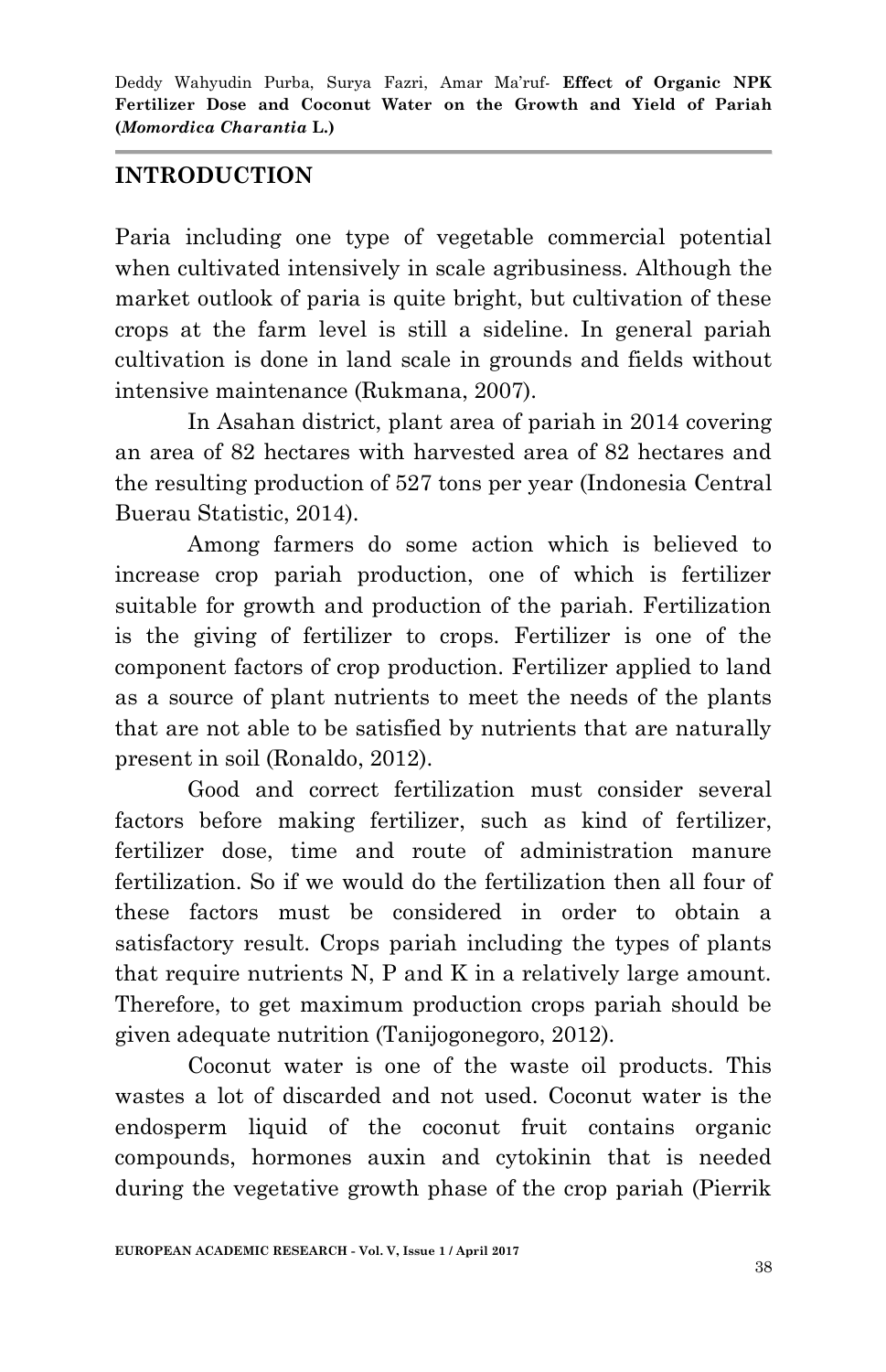## **INTRODUCTION**

Paria including one type of vegetable commercial potential when cultivated intensively in scale agribusiness. Although the market outlook of paria is quite bright, but cultivation of these crops at the farm level is still a sideline. In general pariah cultivation is done in land scale in grounds and fields without intensive maintenance (Rukmana, 2007).

In Asahan district, plant area of pariah in 2014 covering an area of 82 hectares with harvested area of 82 hectares and the resulting production of 527 tons per year (Indonesia Central Buerau Statistic, 2014).

Among farmers do some action which is believed to increase crop pariah production, one of which is fertilizer suitable for growth and production of the pariah. Fertilization is the giving of fertilizer to crops. Fertilizer is one of the component factors of crop production. Fertilizer applied to land as a source of plant nutrients to meet the needs of the plants that are not able to be satisfied by nutrients that are naturally present in soil (Ronaldo, 2012).

Good and correct fertilization must consider several factors before making fertilizer, such as kind of fertilizer, fertilizer dose, time and route of administration manure fertilization. So if we would do the fertilization then all four of these factors must be considered in order to obtain a satisfactory result. Crops pariah including the types of plants that require nutrients N, P and K in a relatively large amount. Therefore, to get maximum production crops pariah should be given adequate nutrition (Tanijogonegoro, 2012).

Coconut water is one of the waste oil products. This wastes a lot of discarded and not used. Coconut water is the endosperm liquid of the coconut fruit contains organic compounds, hormones auxin and cytokinin that is needed during the vegetative growth phase of the crop pariah (Pierrik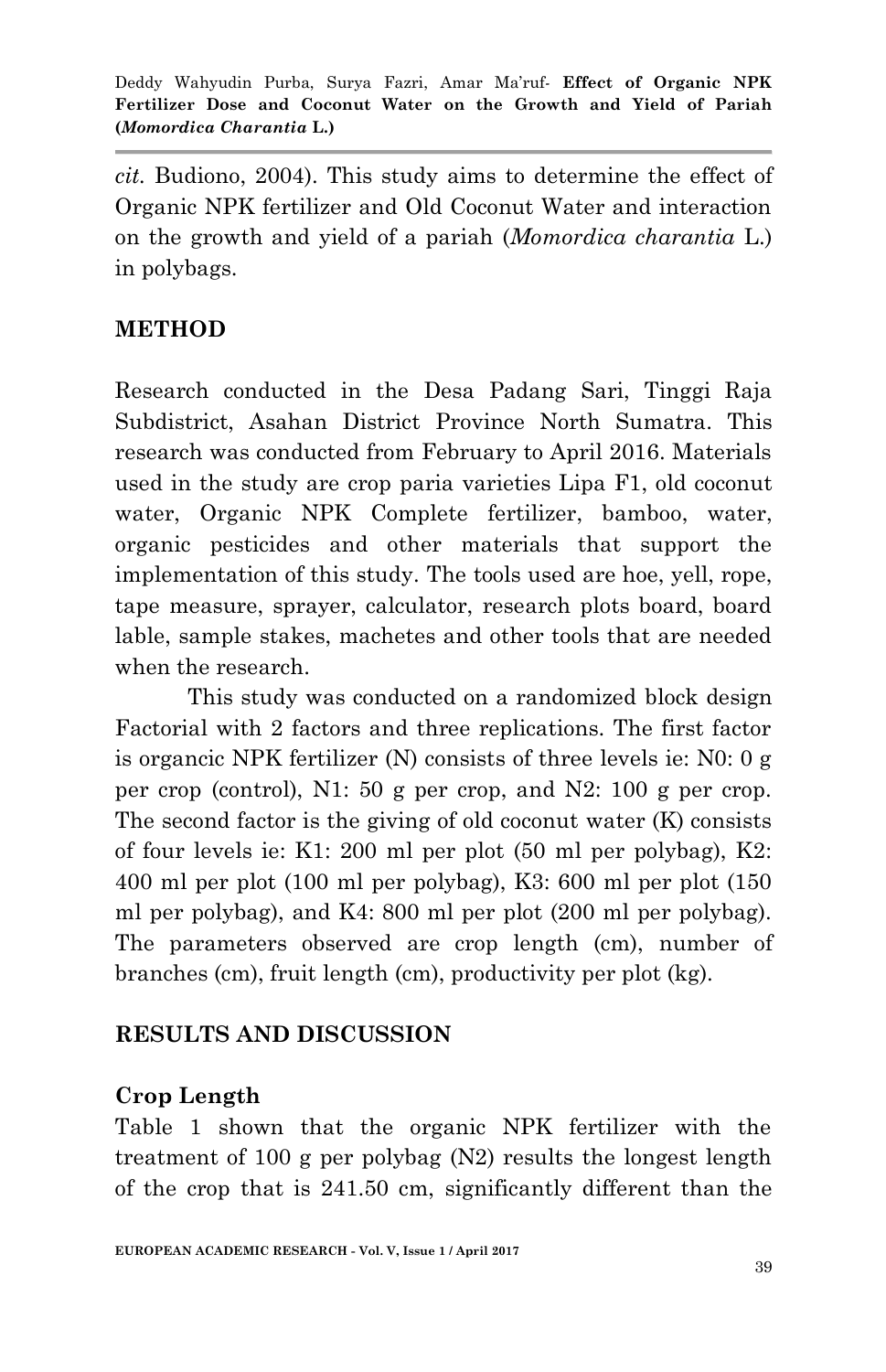*cit.* Budiono, 2004). This study aims to determine the effect of Organic NPK fertilizer and Old Coconut Water and interaction on the growth and yield of a pariah (*Momordica charantia* L.) in polybags.

## **METHOD**

Research conducted in the Desa Padang Sari, Tinggi Raja Subdistrict, Asahan District Province North Sumatra. This research was conducted from February to April 2016. Materials used in the study are crop paria varieties Lipa F1, old coconut water, Organic NPK Complete fertilizer, bamboo, water, organic pesticides and other materials that support the implementation of this study. The tools used are hoe, yell, rope, tape measure, sprayer, calculator, research plots board, board lable, sample stakes, machetes and other tools that are needed when the research.

This study was conducted on a randomized block design Factorial with 2 factors and three replications. The first factor is organcic NPK fertilizer (N) consists of three levels ie: N0: 0 g per crop (control), N1: 50 g per crop, and N2: 100 g per crop. The second factor is the giving of old coconut water (K) consists of four levels ie: K1: 200 ml per plot (50 ml per polybag), K2: 400 ml per plot (100 ml per polybag), K3: 600 ml per plot (150 ml per polybag), and K4: 800 ml per plot (200 ml per polybag). The parameters observed are crop length (cm), number of branches (cm), fruit length (cm), productivity per plot (kg).

### **RESULTS AND DISCUSSION**

## **Crop Length**

Table 1 shown that the organic NPK fertilizer with the treatment of 100 g per polybag (N2) results the longest length of the crop that is 241.50 cm, significantly different than the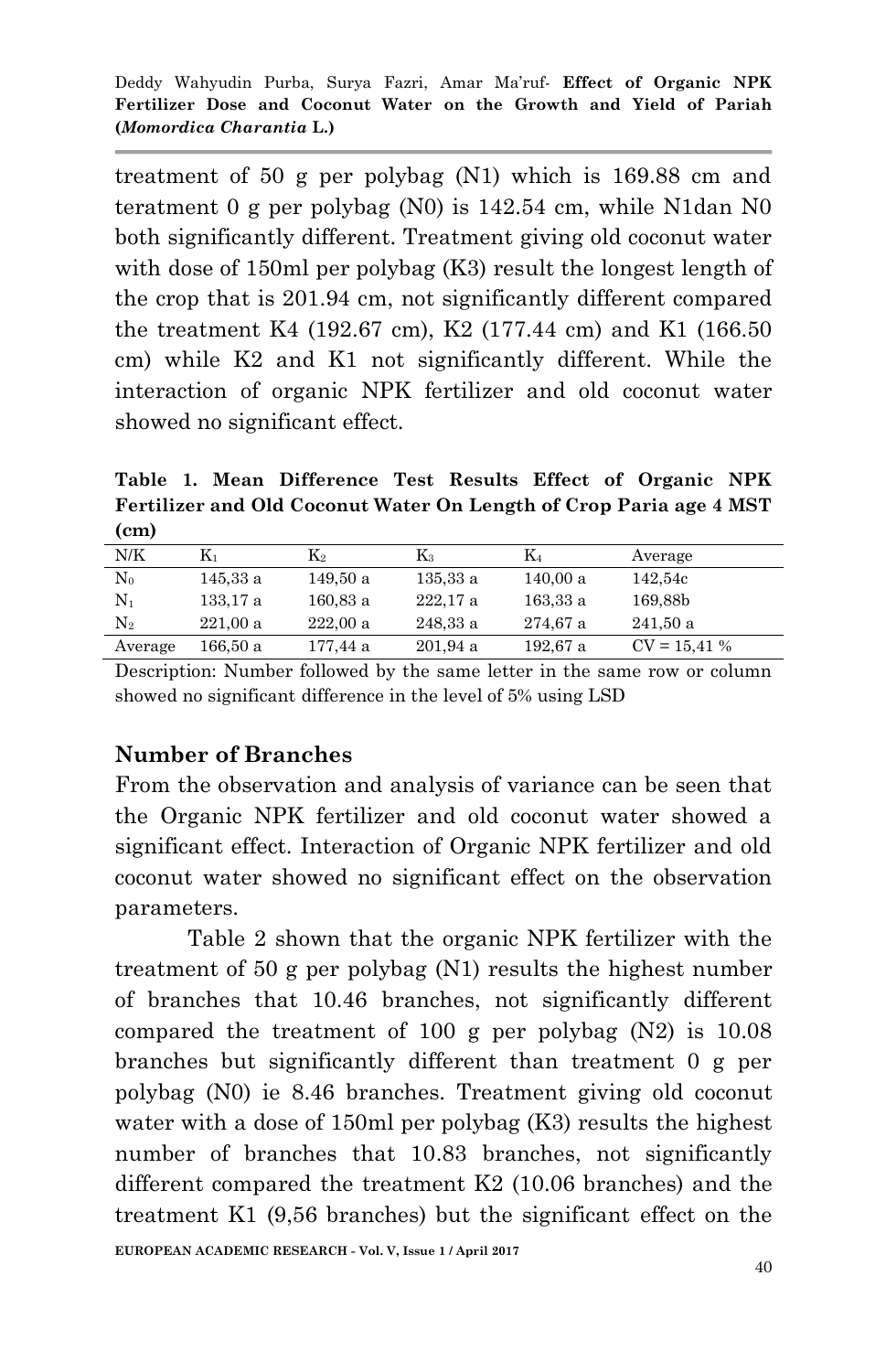treatment of 50 g per polybag (N1) which is 169.88 cm and teratment 0 g per polybag (N0) is 142.54 cm, while N1dan N0 both significantly different. Treatment giving old coconut water with dose of 150ml per polybag (K3) result the longest length of the crop that is 201.94 cm, not significantly different compared the treatment K4 (192.67 cm), K2 (177.44 cm) and K1 (166.50 cm) while K2 and K1 not significantly different. While the interaction of organic NPK fertilizer and old coconut water showed no significant effect.

**Table 1. Mean Difference Test Results Effect of Organic NPK Fertilizer and Old Coconut Water On Length of Crop Paria age 4 MST (cm)**

| N/K            | $\rm K_1$ | $\rm{K}_2$ | K3       | $\rm K_4$ | Average       |
|----------------|-----------|------------|----------|-----------|---------------|
| $\rm N_0$      | 145,33 a  | 149,50 a   | 135.33a  | 140,00a   | 142,54c       |
| $\mathrm{N}_1$ | 133.17 a  | 160.83a    | 222.17a  | 163.33a   | 169,88b       |
| $\mathrm{N}_2$ | 221.00a   | 222.00a    | 248,33 a | 274,67 a  | 241.50a       |
| Average        | 166.50 a  | 177,44 a   | 201.94a  | 192,67 a  | $CV = 15,41%$ |

Description: Number followed by the same letter in the same row or column showed no significant difference in the level of 5% using LSD

### **Number of Branches**

From the observation and analysis of variance can be seen that the Organic NPK fertilizer and old coconut water showed a significant effect. Interaction of Organic NPK fertilizer and old coconut water showed no significant effect on the observation parameters.

Table 2 shown that the organic NPK fertilizer with the treatment of 50 g per polybag (N1) results the highest number of branches that 10.46 branches, not significantly different compared the treatment of 100 g per polybag  $(N2)$  is 10.08 branches but significantly different than treatment 0 g per polybag (N0) ie 8.46 branches. Treatment giving old coconut water with a dose of 150ml per polybag (K3) results the highest number of branches that 10.83 branches, not significantly different compared the treatment K2 (10.06 branches) and the treatment K1 (9,56 branches) but the significant effect on the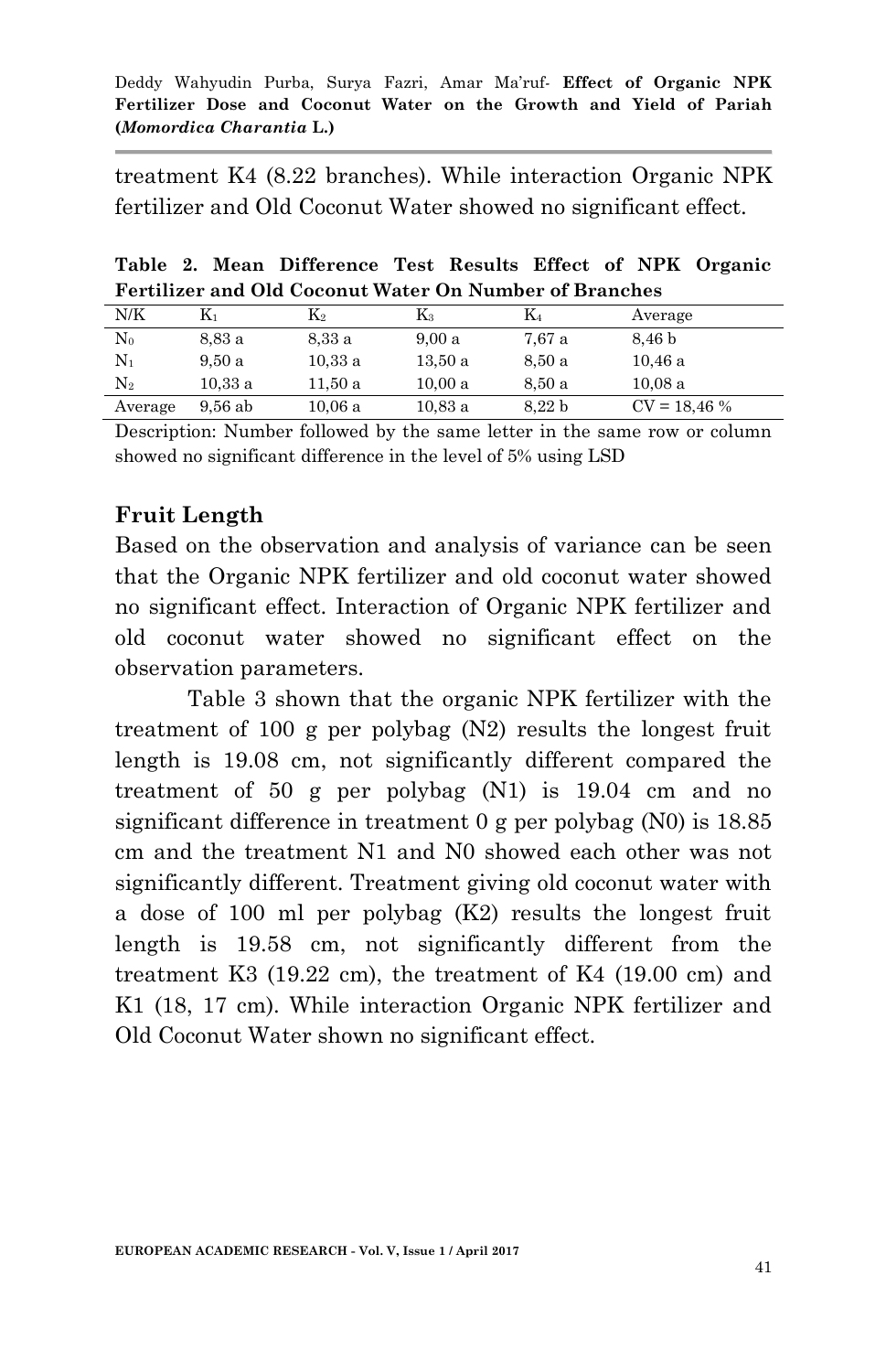treatment K4 (8.22 branches). While interaction Organic NPK fertilizer and Old Coconut Water showed no significant effect.

|  | Table 2. Mean Difference Test Results Effect of NPK Organic   |  |  |  |
|--|---------------------------------------------------------------|--|--|--|
|  | <b>Fertilizer and Old Coconut Water On Number of Branches</b> |  |  |  |

| N/K            | $\mathrm{K}_1$ | $\rm K_2$ | $K_{3}$ | K4                | Average       |
|----------------|----------------|-----------|---------|-------------------|---------------|
| $\rm N_0$      | 8.83 a         | 8.33 a    | 9.00a   | 7,67 a            | 8.46 b        |
| Nı             | 9.50a          | 10.33a    | 13.50a  | 8.50 a            | 10.46a        |
| $\mathrm{N}_2$ | 10.33a         | 11.50 a   | 10,00a  | 8.50 a            | 10.08a        |
| Average        | $9.56$ ab      | 10.06a    | 10.83a  | 8.22 <sub>b</sub> | $CV = 18,46%$ |

Description: Number followed by the same letter in the same row or column showed no significant difference in the level of 5% using LSD

## **Fruit Length**

Based on the observation and analysis of variance can be seen that the Organic NPK fertilizer and old coconut water showed no significant effect. Interaction of Organic NPK fertilizer and old coconut water showed no significant effect on the observation parameters.

Table 3 shown that the organic NPK fertilizer with the treatment of 100 g per polybag (N2) results the longest fruit length is 19.08 cm, not significantly different compared the treatment of 50 g per polybag (N1) is 19.04 cm and no significant difference in treatment 0 g per polybag (N0) is 18.85 cm and the treatment N1 and N0 showed each other was not significantly different. Treatment giving old coconut water with a dose of 100 ml per polybag (K2) results the longest fruit length is 19.58 cm, not significantly different from the treatment K3 (19.22 cm), the treatment of K4 (19.00 cm) and K1 (18, 17 cm). While interaction Organic NPK fertilizer and Old Coconut Water shown no significant effect.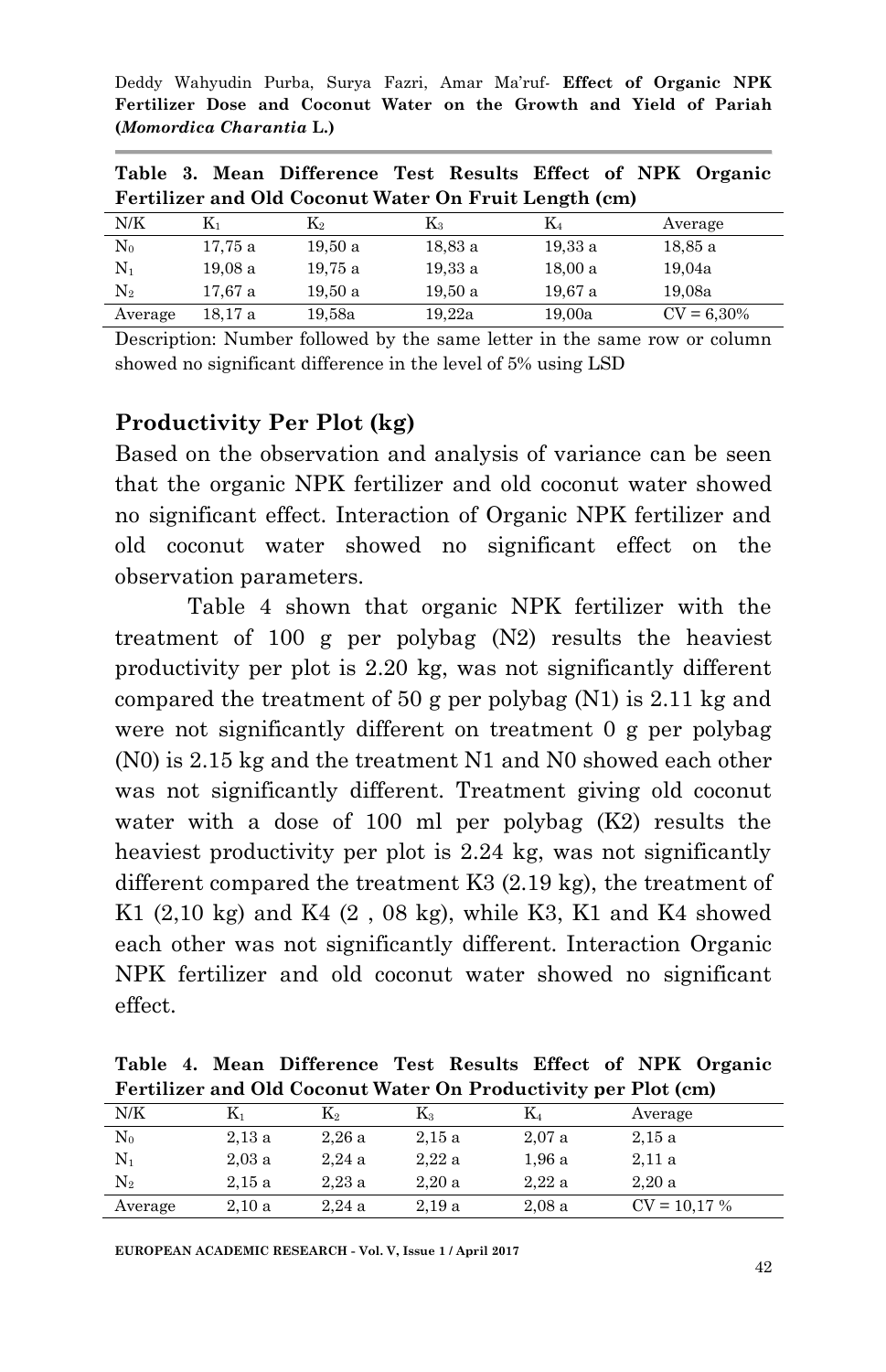|                                                       |         |           |         |         | Table 3. Mean Difference Test Results Effect of NPK Organic |  |  |
|-------------------------------------------------------|---------|-----------|---------|---------|-------------------------------------------------------------|--|--|
| Fertilizer and Old Coconut Water On Fruit Length (cm) |         |           |         |         |                                                             |  |  |
| N/K                                                   | K1      | $\rm K_2$ | $K_{3}$ | $K_4$   | Average                                                     |  |  |
| $N_0$                                                 | 17,75 a | 19,50a    | 18.83 a | 19.33a  | 18.85 a                                                     |  |  |
| $N_1$                                                 | 19.08a  | 19,75 a   | 19.33a  | 18,00a  | 19,04a                                                      |  |  |
| $\mathrm{N}_2$                                        | 17,67 a | 19,50a    | 19.50a  | 19.67 a | 19,08a                                                      |  |  |
| Average                                               | 18.17 a | 19,58a    | 19,22a  | 19,00a  | $CV = 6.30\%$                                               |  |  |

Description: Number followed by the same letter in the same row or column showed no significant difference in the level of 5% using LSD

#### **Productivity Per Plot (kg)**

Based on the observation and analysis of variance can be seen that the organic NPK fertilizer and old coconut water showed no significant effect. Interaction of Organic NPK fertilizer and old coconut water showed no significant effect on the observation parameters.

Table 4 shown that organic NPK fertilizer with the treatment of 100 g per polybag (N2) results the heaviest productivity per plot is 2.20 kg, was not significantly different compared the treatment of 50 g per polybag (N1) is 2.11 kg and were not significantly different on treatment 0 g per polybag (N0) is 2.15 kg and the treatment N1 and N0 showed each other was not significantly different. Treatment giving old coconut water with a dose of 100 ml per polybag (K2) results the heaviest productivity per plot is 2.24 kg, was not significantly different compared the treatment K3 (2.19 kg), the treatment of K1  $(2,10 \text{ kg})$  and K4  $(2, 08 \text{ kg})$ , while K3, K1 and K4 showed each other was not significantly different. Interaction Organic NPK fertilizer and old coconut water showed no significant effect.

**Table 4. Mean Difference Test Results Effect of NPK Organic Fertilizer and Old Coconut Water On Productivity per Plot (cm)**

| N/K               | K۱    | K2    | $\mathrm{K}_3$ | K4    | Average       |
|-------------------|-------|-------|----------------|-------|---------------|
| $_{\mathrm{N_0}}$ | 2.13a | 2.26a | 2.15a          | 2.07a | 2.15a         |
| $\mathrm{N}_1$    | 2.03a | 2.24a | 2.22a          | 1.96a | 2.11a         |
| $\mathrm{N}_2$    | 2.15a | 2.23a | 2.20a          | 2.22a | 2.20a         |
| Average           | 2.10a | 2.24a | 2.19a          | 2.08a | $CV = 10,17%$ |
|                   |       |       |                |       |               |

**EUROPEAN ACADEMIC RESEARCH - Vol. V, Issue 1 / April 2017**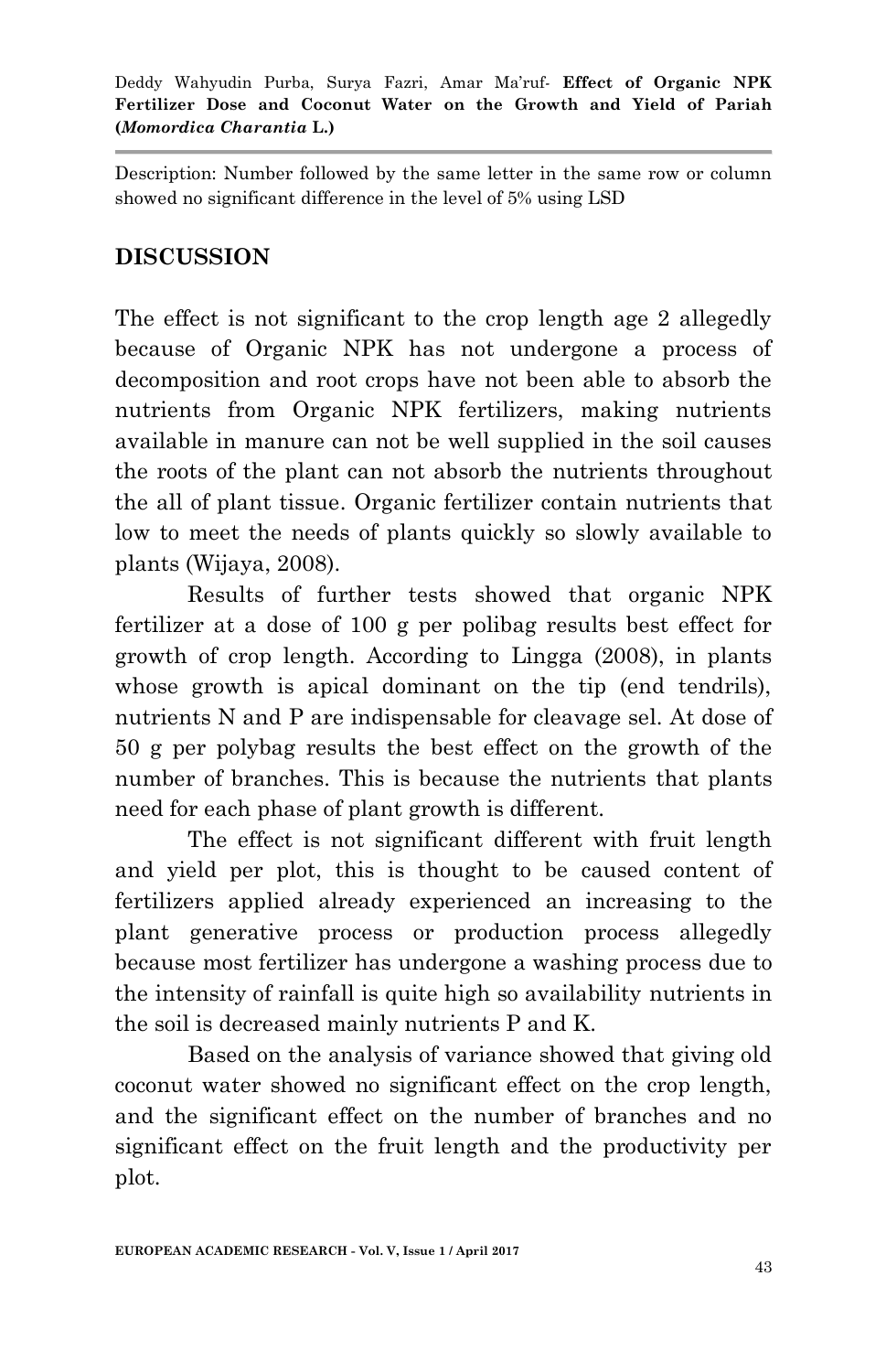Description: Number followed by the same letter in the same row or column showed no significant difference in the level of 5% using LSD

## **DISCUSSION**

The effect is not significant to the crop length age 2 allegedly because of Organic NPK has not undergone a process of decomposition and root crops have not been able to absorb the nutrients from Organic NPK fertilizers, making nutrients available in manure can not be well supplied in the soil causes the roots of the plant can not absorb the nutrients throughout the all of plant tissue. Organic fertilizer contain nutrients that low to meet the needs of plants quickly so slowly available to plants (Wijaya, 2008).

Results of further tests showed that organic NPK fertilizer at a dose of 100 g per polibag results best effect for growth of crop length. According to Lingga (2008), in plants whose growth is apical dominant on the tip (end tendrils), nutrients N and P are indispensable for cleavage sel. At dose of 50 g per polybag results the best effect on the growth of the number of branches. This is because the nutrients that plants need for each phase of plant growth is different.

The effect is not significant different with fruit length and yield per plot, this is thought to be caused content of fertilizers applied already experienced an increasing to the plant generative process or production process allegedly because most fertilizer has undergone a washing process due to the intensity of rainfall is quite high so availability nutrients in the soil is decreased mainly nutrients P and K.

Based on the analysis of variance showed that giving old coconut water showed no significant effect on the crop length, and the significant effect on the number of branches and no significant effect on the fruit length and the productivity per plot.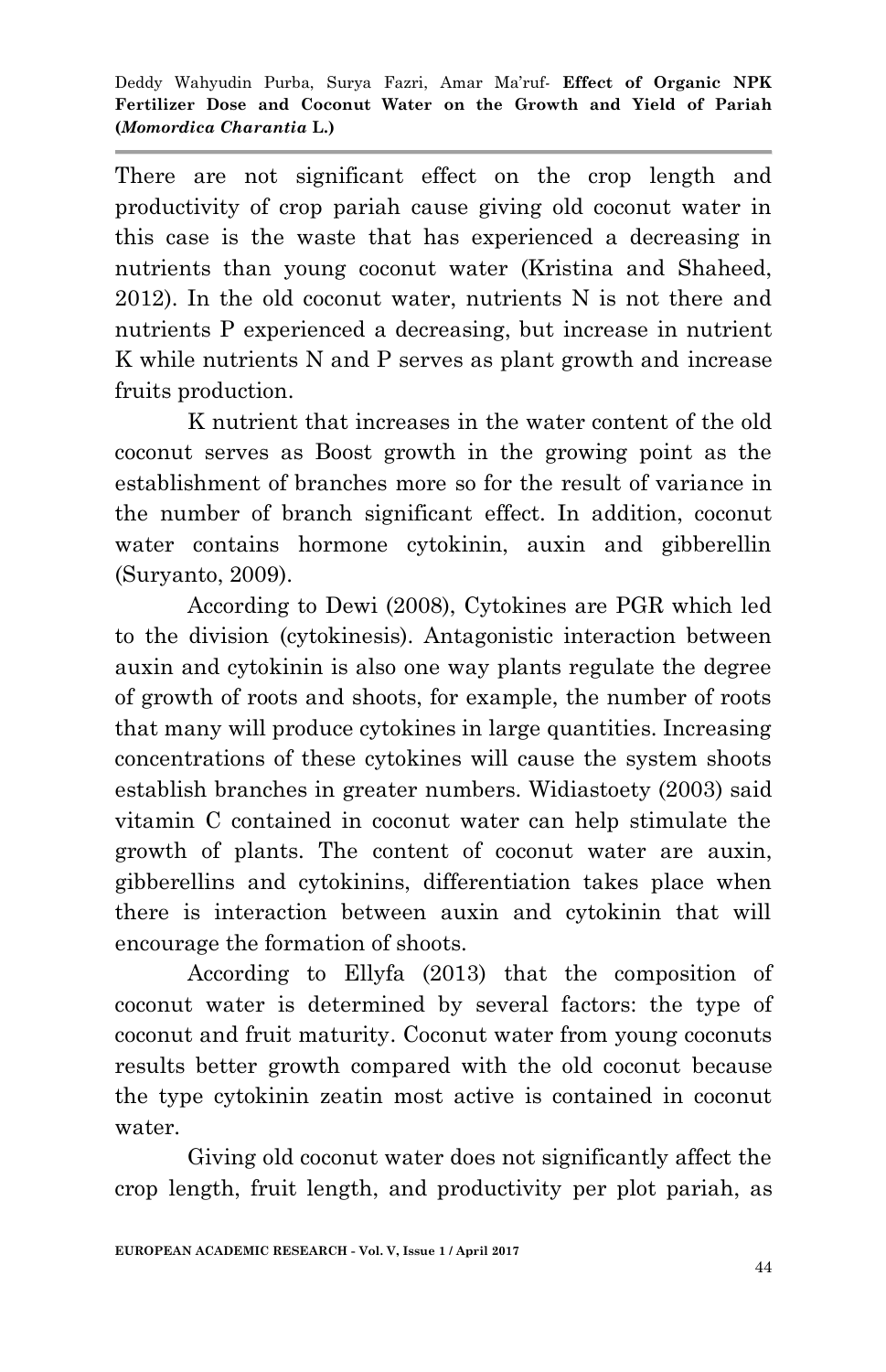There are not significant effect on the crop length and productivity of crop pariah cause giving old coconut water in this case is the waste that has experienced a decreasing in nutrients than young coconut water (Kristina and Shaheed, 2012). In the old coconut water, nutrients N is not there and nutrients P experienced a decreasing, but increase in nutrient K while nutrients N and P serves as plant growth and increase fruits production.

K nutrient that increases in the water content of the old coconut serves as Boost growth in the growing point as the establishment of branches more so for the result of variance in the number of branch significant effect. In addition, coconut water contains hormone cytokinin, auxin and gibberellin (Suryanto, 2009).

According to Dewi (2008), Cytokines are PGR which led to the division (cytokinesis). Antagonistic interaction between auxin and cytokinin is also one way plants regulate the degree of growth of roots and shoots, for example, the number of roots that many will produce cytokines in large quantities. Increasing concentrations of these cytokines will cause the system shoots establish branches in greater numbers. Widiastoety (2003) said vitamin C contained in coconut water can help stimulate the growth of plants. The content of coconut water are auxin, gibberellins and cytokinins, differentiation takes place when there is interaction between auxin and cytokinin that will encourage the formation of shoots.

According to Ellyfa (2013) that the composition of coconut water is determined by several factors: the type of coconut and fruit maturity. Coconut water from young coconuts results better growth compared with the old coconut because the type cytokinin zeatin most active is contained in coconut water.

Giving old coconut water does not significantly affect the crop length, fruit length, and productivity per plot pariah, as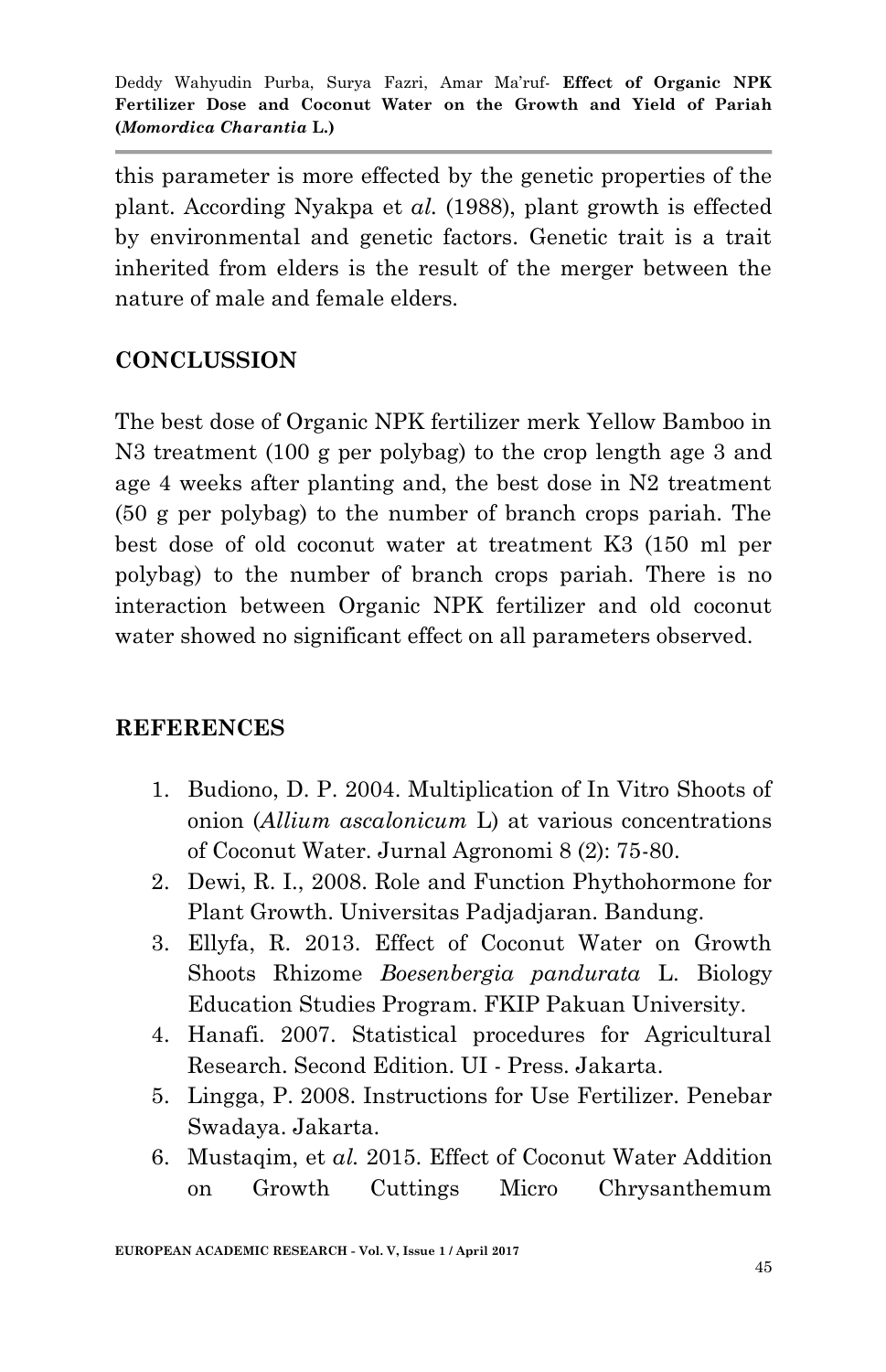this parameter is more effected by the genetic properties of the plant. According Nyakpa et *al.* (1988), plant growth is effected by environmental and genetic factors. Genetic trait is a trait inherited from elders is the result of the merger between the nature of male and female elders.

## **CONCLUSSION**

The best dose of Organic NPK fertilizer merk Yellow Bamboo in N3 treatment (100 g per polybag) to the crop length age 3 and age 4 weeks after planting and, the best dose in N2 treatment (50 g per polybag) to the number of branch crops pariah. The best dose of old coconut water at treatment K3 (150 ml per polybag) to the number of branch crops pariah. There is no interaction between Organic NPK fertilizer and old coconut water showed no significant effect on all parameters observed.

### **REFERENCES**

- 1. Budiono, D. P. 2004. Multiplication of In Vitro Shoots of onion (*Allium ascalonicum* L) at various concentrations of Coconut Water. Jurnal Agronomi 8 (2): 75-80.
- 2. Dewi, R. I., 2008. Role and Function Phythohormone for Plant Growth. Universitas Padjadjaran. Bandung.
- 3. Ellyfa, R. 2013. Effect of Coconut Water on Growth Shoots Rhizome *Boesenbergia pandurata* L. Biology Education Studies Program. FKIP Pakuan University.
- 4. Hanafi. 2007. Statistical procedures for Agricultural Research. Second Edition. UI - Press. Jakarta.
- 5. Lingga, P. 2008. Instructions for Use Fertilizer. Penebar Swadaya. Jakarta.
- 6. Mustaqim, et *al.* 2015. Effect of Coconut Water Addition on Growth Cuttings Micro Chrysanthemum